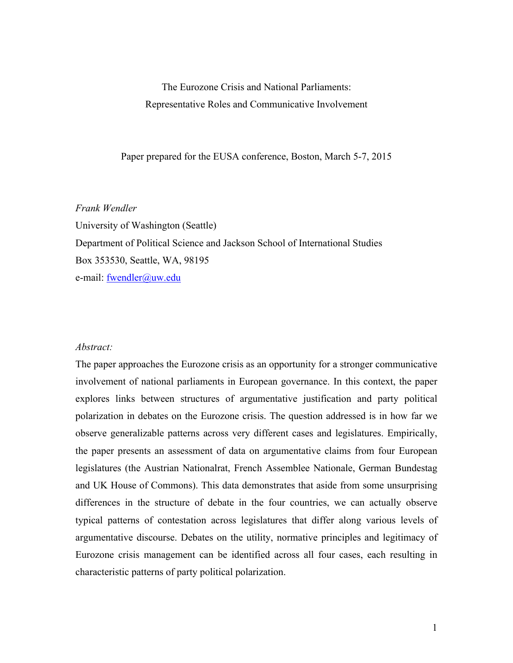# The Eurozone Crisis and National Parliaments: Representative Roles and Communicative Involvement

Paper prepared for the EUSA conference, Boston, March 5-7, 2015

# *Frank Wendler*

University of Washington (Seattle) Department of Political Science and Jackson School of International Studies Box 353530, Seattle, WA, 98195 e-mail: fwendler@uw.edu

## *Abstract:*

The paper approaches the Eurozone crisis as an opportunity for a stronger communicative involvement of national parliaments in European governance. In this context, the paper explores links between structures of argumentative justification and party political polarization in debates on the Eurozone crisis. The question addressed is in how far we observe generalizable patterns across very different cases and legislatures. Empirically, the paper presents an assessment of data on argumentative claims from four European legislatures (the Austrian Nationalrat, French Assemblee Nationale, German Bundestag and UK House of Commons). This data demonstrates that aside from some unsurprising differences in the structure of debate in the four countries, we can actually observe typical patterns of contestation across legislatures that differ along various levels of argumentative discourse. Debates on the utility, normative principles and legitimacy of Eurozone crisis management can be identified across all four cases, each resulting in characteristic patterns of party political polarization.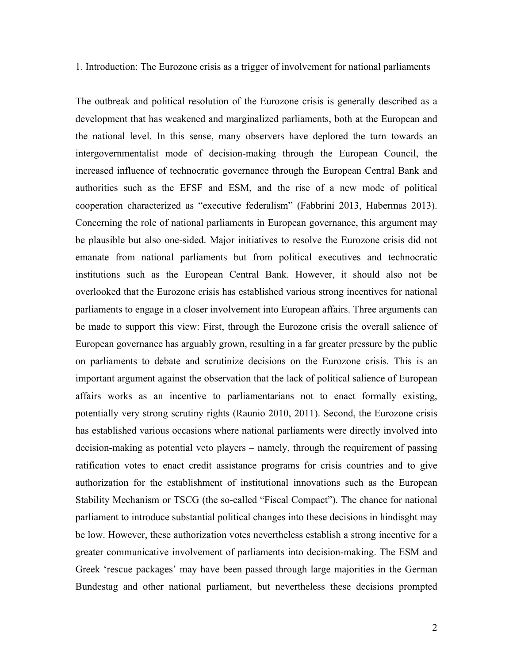# 1. Introduction: The Eurozone crisis as a trigger of involvement for national parliaments

The outbreak and political resolution of the Eurozone crisis is generally described as a development that has weakened and marginalized parliaments, both at the European and the national level. In this sense, many observers have deplored the turn towards an intergovernmentalist mode of decision-making through the European Council, the increased influence of technocratic governance through the European Central Bank and authorities such as the EFSF and ESM, and the rise of a new mode of political cooperation characterized as "executive federalism" (Fabbrini 2013, Habermas 2013). Concerning the role of national parliaments in European governance, this argument may be plausible but also one-sided. Major initiatives to resolve the Eurozone crisis did not emanate from national parliaments but from political executives and technocratic institutions such as the European Central Bank. However, it should also not be overlooked that the Eurozone crisis has established various strong incentives for national parliaments to engage in a closer involvement into European affairs. Three arguments can be made to support this view: First, through the Eurozone crisis the overall salience of European governance has arguably grown, resulting in a far greater pressure by the public on parliaments to debate and scrutinize decisions on the Eurozone crisis. This is an important argument against the observation that the lack of political salience of European affairs works as an incentive to parliamentarians not to enact formally existing, potentially very strong scrutiny rights (Raunio 2010, 2011). Second, the Eurozone crisis has established various occasions where national parliaments were directly involved into decision-making as potential veto players – namely, through the requirement of passing ratification votes to enact credit assistance programs for crisis countries and to give authorization for the establishment of institutional innovations such as the European Stability Mechanism or TSCG (the so-called "Fiscal Compact"). The chance for national parliament to introduce substantial political changes into these decisions in hindisght may be low. However, these authorization votes nevertheless establish a strong incentive for a greater communicative involvement of parliaments into decision-making. The ESM and Greek 'rescue packages' may have been passed through large majorities in the German Bundestag and other national parliament, but nevertheless these decisions prompted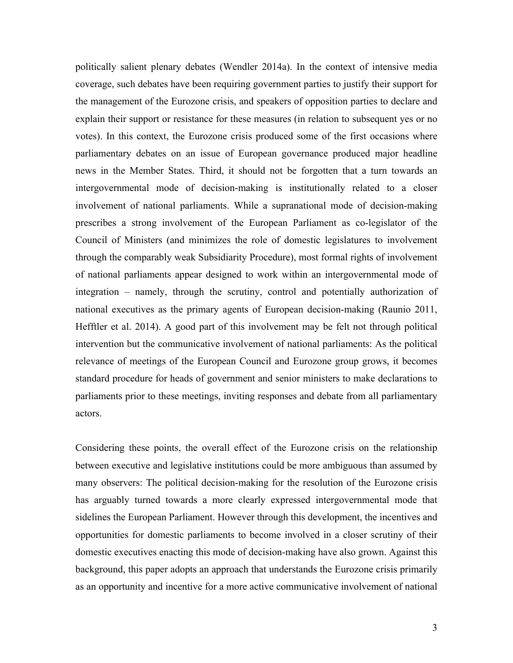politically salient plenary debates (Wendler 2014a). In the context of intensive media coverage, such debates have been requiring government parties to justify their support for the management of the Eurozone crisis, and speakers of opposition parties to declare and explain their support or resistance for these measures (in relation to subsequent yes or no votes). In this context, the Eurozone crisis produced some of the first occasions where parliamentary debates on an issue of European governance produced major headline news in the Member States. Third, it should not be forgotten that a turn towards an intergovernmental mode of decision-making is institutionally related to a closer involvement of national parliaments. While a supranational mode of decision-making prescribes a strong involvement of the European Parliament as co-legislator of the Council of Ministers (and minimizes the role of domestic legislatures to involvement through the comparably weak Subsidiarity Procedure), most formal rights of involvement of national parliaments appear designed to work within an intergovernmental mode of integration – namely, through the scrutiny, control and potentially authorization of national executives as the primary agents of European decision-making (Raunio 2011, Hefftler et al. 2014). A good part of this involvement may be felt not through political intervention but the communicative involvement of national parliaments: As the political relevance of meetings of the European Council and Eurozone group grows, it becomes standard procedure for heads of government and senior ministers to make declarations to parliaments prior to these meetings, inviting responses and debate from all parliamentary actors.

Considering these points, the overall effect of the Eurozone crisis on the relationship between executive and legislative institutions could be more ambiguous than assumed by many observers: The political decision-making for the resolution of the Eurozone crisis has arguably turned towards a more clearly expressed intergovernmental mode that sidelines the European Parliament. However through this development, the incentives and opportunities for domestic parliaments to become involved in a closer scrutiny of their domestic executives enacting this mode of decision-making have also grown. Against this background, this paper adopts an approach that understands the Eurozone crisis primarily as an opportunity and incentive for a more active communicative involvement of national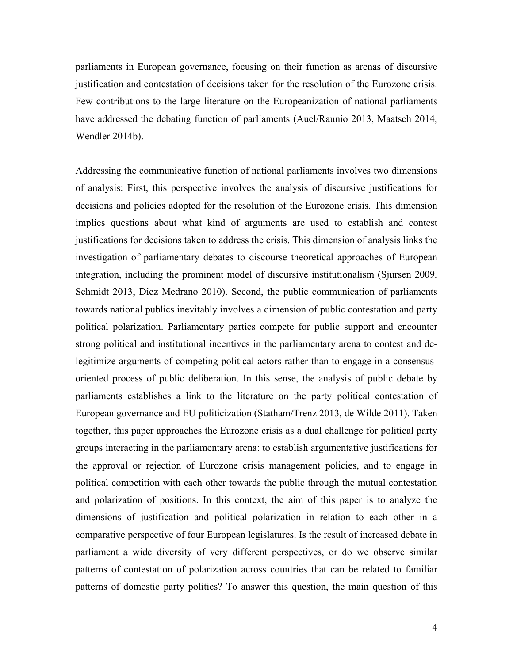parliaments in European governance, focusing on their function as arenas of discursive justification and contestation of decisions taken for the resolution of the Eurozone crisis. Few contributions to the large literature on the Europeanization of national parliaments have addressed the debating function of parliaments (Auel/Raunio 2013, Maatsch 2014, Wendler 2014b).

Addressing the communicative function of national parliaments involves two dimensions of analysis: First, this perspective involves the analysis of discursive justifications for decisions and policies adopted for the resolution of the Eurozone crisis. This dimension implies questions about what kind of arguments are used to establish and contest justifications for decisions taken to address the crisis. This dimension of analysis links the investigation of parliamentary debates to discourse theoretical approaches of European integration, including the prominent model of discursive institutionalism (Sjursen 2009, Schmidt 2013, Diez Medrano 2010). Second, the public communication of parliaments towards national publics inevitably involves a dimension of public contestation and party political polarization. Parliamentary parties compete for public support and encounter strong political and institutional incentives in the parliamentary arena to contest and delegitimize arguments of competing political actors rather than to engage in a consensusoriented process of public deliberation. In this sense, the analysis of public debate by parliaments establishes a link to the literature on the party political contestation of European governance and EU politicization (Statham/Trenz 2013, de Wilde 2011). Taken together, this paper approaches the Eurozone crisis as a dual challenge for political party groups interacting in the parliamentary arena: to establish argumentative justifications for the approval or rejection of Eurozone crisis management policies, and to engage in political competition with each other towards the public through the mutual contestation and polarization of positions. In this context, the aim of this paper is to analyze the dimensions of justification and political polarization in relation to each other in a comparative perspective of four European legislatures. Is the result of increased debate in parliament a wide diversity of very different perspectives, or do we observe similar patterns of contestation of polarization across countries that can be related to familiar patterns of domestic party politics? To answer this question, the main question of this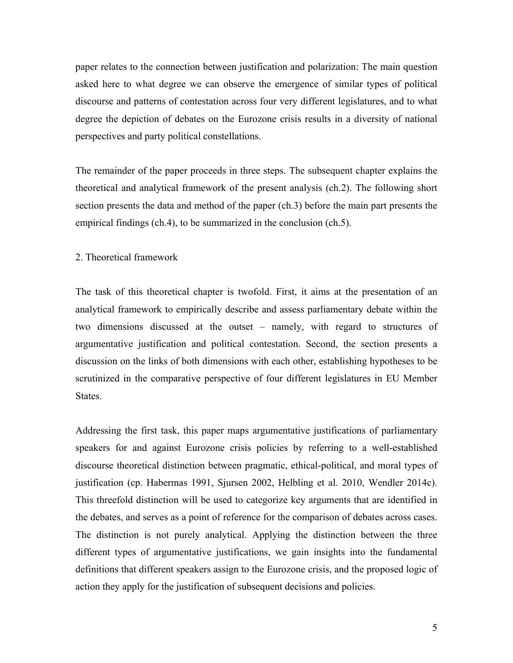paper relates to the connection between justification and polarization: The main question asked here to what degree we can observe the emergence of similar types of political discourse and patterns of contestation across four very different legislatures, and to what degree the depiction of debates on the Eurozone crisis results in a diversity of national perspectives and party political constellations.

The remainder of the paper proceeds in three steps. The subsequent chapter explains the theoretical and analytical framework of the present analysis (ch.2). The following short section presents the data and method of the paper (ch.3) before the main part presents the empirical findings (ch.4), to be summarized in the conclusion (ch.5).

# 2. Theoretical framework

The task of this theoretical chapter is twofold. First, it aims at the presentation of an analytical framework to empirically describe and assess parliamentary debate within the two dimensions discussed at the outset – namely, with regard to structures of argumentative justification and political contestation. Second, the section presents a discussion on the links of both dimensions with each other, establishing hypotheses to be scrutinized in the comparative perspective of four different legislatures in EU Member States.

Addressing the first task, this paper maps argumentative justifications of parliamentary speakers for and against Eurozone crisis policies by referring to a well-established discourse theoretical distinction between pragmatic, ethical-political, and moral types of justification (cp. Habermas 1991, Sjursen 2002, Helbling et al. 2010, Wendler 2014c). This threefold distinction will be used to categorize key arguments that are identified in the debates, and serves as a point of reference for the comparison of debates across cases. The distinction is not purely analytical. Applying the distinction between the three different types of argumentative justifications, we gain insights into the fundamental definitions that different speakers assign to the Eurozone crisis, and the proposed logic of action they apply for the justification of subsequent decisions and policies.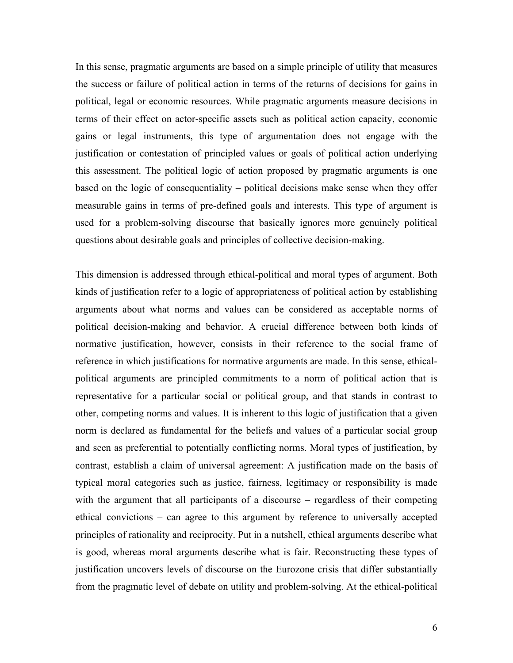In this sense, pragmatic arguments are based on a simple principle of utility that measures the success or failure of political action in terms of the returns of decisions for gains in political, legal or economic resources. While pragmatic arguments measure decisions in terms of their effect on actor-specific assets such as political action capacity, economic gains or legal instruments, this type of argumentation does not engage with the justification or contestation of principled values or goals of political action underlying this assessment. The political logic of action proposed by pragmatic arguments is one based on the logic of consequentiality – political decisions make sense when they offer measurable gains in terms of pre-defined goals and interests. This type of argument is used for a problem-solving discourse that basically ignores more genuinely political questions about desirable goals and principles of collective decision-making.

This dimension is addressed through ethical-political and moral types of argument. Both kinds of justification refer to a logic of appropriateness of political action by establishing arguments about what norms and values can be considered as acceptable norms of political decision-making and behavior. A crucial difference between both kinds of normative justification, however, consists in their reference to the social frame of reference in which justifications for normative arguments are made. In this sense, ethicalpolitical arguments are principled commitments to a norm of political action that is representative for a particular social or political group, and that stands in contrast to other, competing norms and values. It is inherent to this logic of justification that a given norm is declared as fundamental for the beliefs and values of a particular social group and seen as preferential to potentially conflicting norms. Moral types of justification, by contrast, establish a claim of universal agreement: A justification made on the basis of typical moral categories such as justice, fairness, legitimacy or responsibility is made with the argument that all participants of a discourse – regardless of their competing ethical convictions – can agree to this argument by reference to universally accepted principles of rationality and reciprocity. Put in a nutshell, ethical arguments describe what is good, whereas moral arguments describe what is fair. Reconstructing these types of justification uncovers levels of discourse on the Eurozone crisis that differ substantially from the pragmatic level of debate on utility and problem-solving. At the ethical-political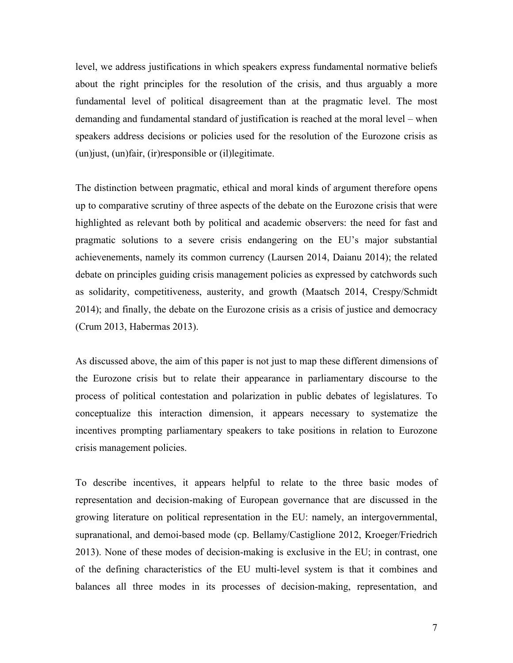level, we address justifications in which speakers express fundamental normative beliefs about the right principles for the resolution of the crisis, and thus arguably a more fundamental level of political disagreement than at the pragmatic level. The most demanding and fundamental standard of justification is reached at the moral level – when speakers address decisions or policies used for the resolution of the Eurozone crisis as (un)just, (un)fair, (ir)responsible or (il)legitimate.

The distinction between pragmatic, ethical and moral kinds of argument therefore opens up to comparative scrutiny of three aspects of the debate on the Eurozone crisis that were highlighted as relevant both by political and academic observers: the need for fast and pragmatic solutions to a severe crisis endangering on the EU's major substantial achievenements, namely its common currency (Laursen 2014, Daianu 2014); the related debate on principles guiding crisis management policies as expressed by catchwords such as solidarity, competitiveness, austerity, and growth (Maatsch 2014, Crespy/Schmidt 2014); and finally, the debate on the Eurozone crisis as a crisis of justice and democracy (Crum 2013, Habermas 2013).

As discussed above, the aim of this paper is not just to map these different dimensions of the Eurozone crisis but to relate their appearance in parliamentary discourse to the process of political contestation and polarization in public debates of legislatures. To conceptualize this interaction dimension, it appears necessary to systematize the incentives prompting parliamentary speakers to take positions in relation to Eurozone crisis management policies.

To describe incentives, it appears helpful to relate to the three basic modes of representation and decision-making of European governance that are discussed in the growing literature on political representation in the EU: namely, an intergovernmental, supranational, and demoi-based mode (cp. Bellamy/Castiglione 2012, Kroeger/Friedrich 2013). None of these modes of decision-making is exclusive in the EU; in contrast, one of the defining characteristics of the EU multi-level system is that it combines and balances all three modes in its processes of decision-making, representation, and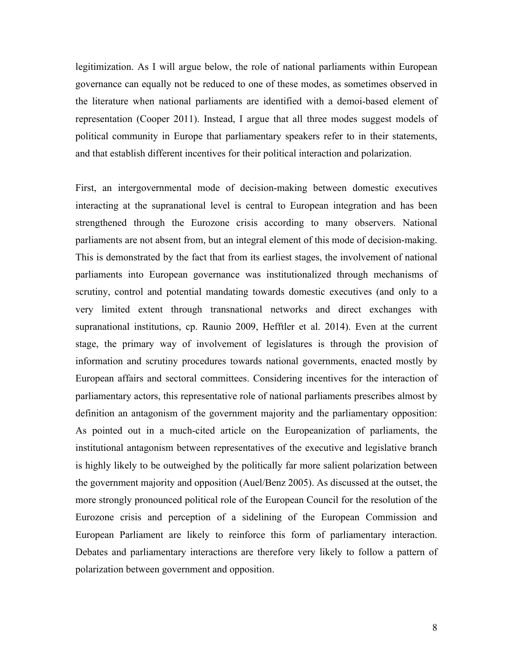legitimization. As I will argue below, the role of national parliaments within European governance can equally not be reduced to one of these modes, as sometimes observed in the literature when national parliaments are identified with a demoi-based element of representation (Cooper 2011). Instead, I argue that all three modes suggest models of political community in Europe that parliamentary speakers refer to in their statements, and that establish different incentives for their political interaction and polarization.

First, an intergovernmental mode of decision-making between domestic executives interacting at the supranational level is central to European integration and has been strengthened through the Eurozone crisis according to many observers. National parliaments are not absent from, but an integral element of this mode of decision-making. This is demonstrated by the fact that from its earliest stages, the involvement of national parliaments into European governance was institutionalized through mechanisms of scrutiny, control and potential mandating towards domestic executives (and only to a very limited extent through transnational networks and direct exchanges with supranational institutions, cp. Raunio 2009, Hefftler et al. 2014). Even at the current stage, the primary way of involvement of legislatures is through the provision of information and scrutiny procedures towards national governments, enacted mostly by European affairs and sectoral committees. Considering incentives for the interaction of parliamentary actors, this representative role of national parliaments prescribes almost by definition an antagonism of the government majority and the parliamentary opposition: As pointed out in a much-cited article on the Europeanization of parliaments, the institutional antagonism between representatives of the executive and legislative branch is highly likely to be outweighed by the politically far more salient polarization between the government majority and opposition (Auel/Benz 2005). As discussed at the outset, the more strongly pronounced political role of the European Council for the resolution of the Eurozone crisis and perception of a sidelining of the European Commission and European Parliament are likely to reinforce this form of parliamentary interaction. Debates and parliamentary interactions are therefore very likely to follow a pattern of polarization between government and opposition.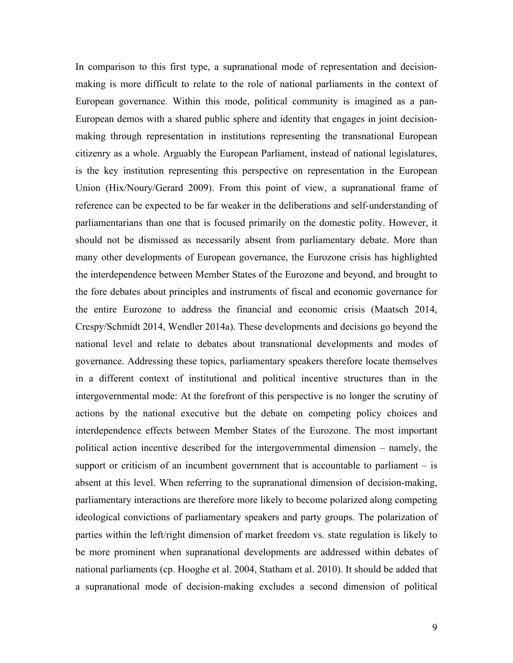In comparison to this first type, a supranational mode of representation and decisionmaking is more difficult to relate to the role of national parliaments in the context of European governance. Within this mode, political community is imagined as a pan-European demos with a shared public sphere and identity that engages in joint decisionmaking through representation in institutions representing the transnational European citizenry as a whole. Arguably the European Parliament, instead of national legislatures, is the key institution representing this perspective on representation in the European Union (Hix/Noury/Gerard 2009). From this point of view, a supranational frame of reference can be expected to be far weaker in the deliberations and self-understanding of parliamentarians than one that is focused primarily on the domestic polity. However, it should not be dismissed as necessarily absent from parliamentary debate. More than many other developments of European governance, the Eurozone crisis has highlighted the interdependence between Member States of the Eurozone and beyond, and brought to the fore debates about principles and instruments of fiscal and economic governance for the entire Eurozone to address the financial and economic crisis (Maatsch 2014, Crespy/Schmidt 2014, Wendler 2014a). These developments and decisions go beyond the national level and relate to debates about transnational developments and modes of governance. Addressing these topics, parliamentary speakers therefore locate themselves in a different context of institutional and political incentive structures than in the intergovernmental mode: At the forefront of this perspective is no longer the scrutiny of actions by the national executive but the debate on competing policy choices and interdependence effects between Member States of the Eurozone. The most important political action incentive described for the intergovernmental dimension – namely, the support or criticism of an incumbent government that is accountable to parliament  $-$  is absent at this level. When referring to the supranational dimension of decision-making, parliamentary interactions are therefore more likely to become polarized along competing ideological convictions of parliamentary speakers and party groups. The polarization of parties within the left/right dimension of market freedom vs. state regulation is likely to be more prominent when supranational developments are addressed within debates of national parliaments (cp. Hooghe et al. 2004, Statham et al. 2010). It should be added that a supranational mode of decision-making excludes a second dimension of political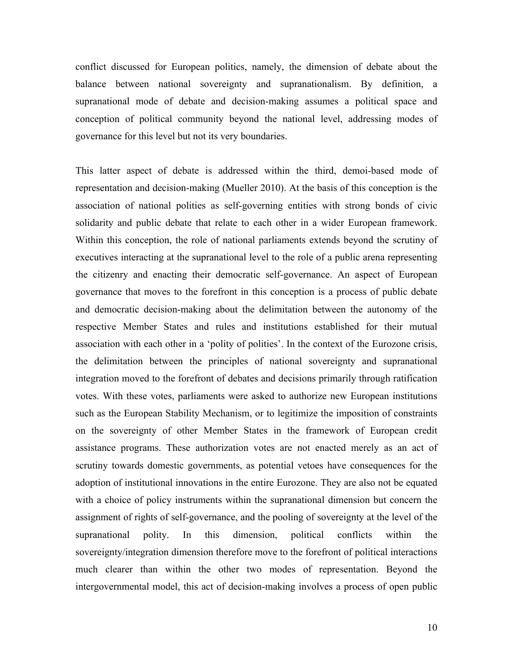conflict discussed for European politics, namely, the dimension of debate about the balance between national sovereignty and supranationalism. By definition, a supranational mode of debate and decision-making assumes a political space and conception of political community beyond the national level, addressing modes of governance for this level but not its very boundaries.

This latter aspect of debate is addressed within the third, demoi-based mode of representation and decision-making (Mueller 2010). At the basis of this conception is the association of national polities as self-governing entities with strong bonds of civic solidarity and public debate that relate to each other in a wider European framework. Within this conception, the role of national parliaments extends beyond the scrutiny of executives interacting at the supranational level to the role of a public arena representing the citizenry and enacting their democratic self-governance. An aspect of European governance that moves to the forefront in this conception is a process of public debate and democratic decision-making about the delimitation between the autonomy of the respective Member States and rules and institutions established for their mutual association with each other in a 'polity of polities'. In the context of the Eurozone crisis, the delimitation between the principles of national sovereignty and supranational integration moved to the forefront of debates and decisions primarily through ratification votes. With these votes, parliaments were asked to authorize new European institutions such as the European Stability Mechanism, or to legitimize the imposition of constraints on the sovereignty of other Member States in the framework of European credit assistance programs. These authorization votes are not enacted merely as an act of scrutiny towards domestic governments, as potential vetoes have consequences for the adoption of institutional innovations in the entire Eurozone. They are also not be equated with a choice of policy instruments within the supranational dimension but concern the assignment of rights of self-governance, and the pooling of sovereignty at the level of the supranational polity. In this dimension, political conflicts within the sovereignty/integration dimension therefore move to the forefront of political interactions much clearer than within the other two modes of representation. Beyond the intergovernmental model, this act of decision-making involves a process of open public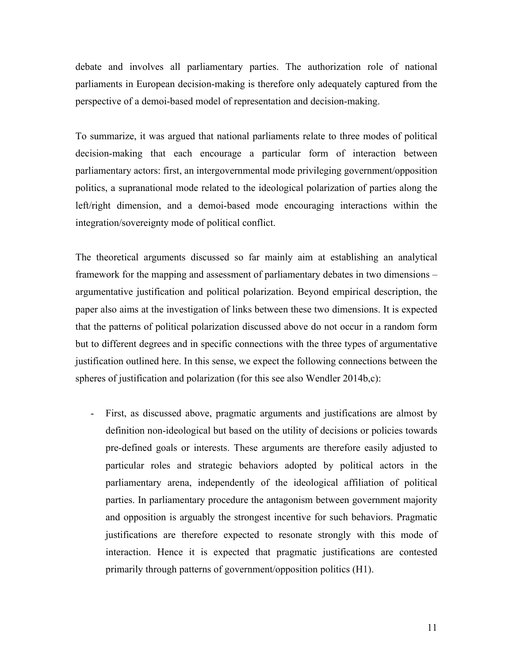debate and involves all parliamentary parties. The authorization role of national parliaments in European decision-making is therefore only adequately captured from the perspective of a demoi-based model of representation and decision-making.

To summarize, it was argued that national parliaments relate to three modes of political decision-making that each encourage a particular form of interaction between parliamentary actors: first, an intergovernmental mode privileging government/opposition politics, a supranational mode related to the ideological polarization of parties along the left/right dimension, and a demoi-based mode encouraging interactions within the integration/sovereignty mode of political conflict.

The theoretical arguments discussed so far mainly aim at establishing an analytical framework for the mapping and assessment of parliamentary debates in two dimensions – argumentative justification and political polarization. Beyond empirical description, the paper also aims at the investigation of links between these two dimensions. It is expected that the patterns of political polarization discussed above do not occur in a random form but to different degrees and in specific connections with the three types of argumentative justification outlined here. In this sense, we expect the following connections between the spheres of justification and polarization (for this see also Wendler 2014b,c):

- First, as discussed above, pragmatic arguments and justifications are almost by definition non-ideological but based on the utility of decisions or policies towards pre-defined goals or interests. These arguments are therefore easily adjusted to particular roles and strategic behaviors adopted by political actors in the parliamentary arena, independently of the ideological affiliation of political parties. In parliamentary procedure the antagonism between government majority and opposition is arguably the strongest incentive for such behaviors. Pragmatic justifications are therefore expected to resonate strongly with this mode of interaction. Hence it is expected that pragmatic justifications are contested primarily through patterns of government/opposition politics (H1).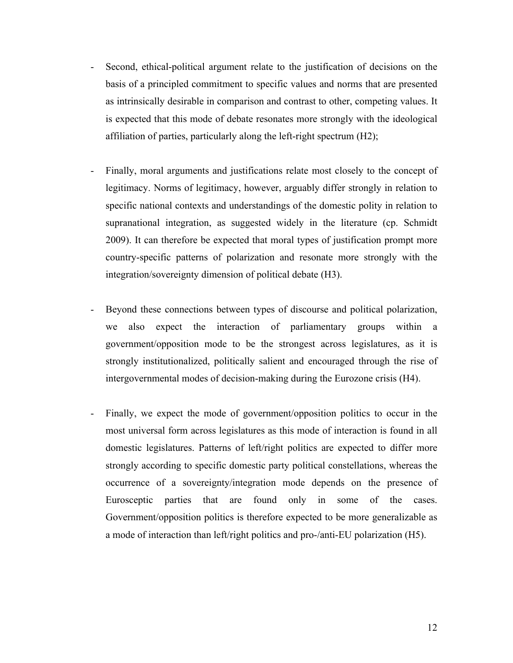- Second, ethical-political argument relate to the justification of decisions on the basis of a principled commitment to specific values and norms that are presented as intrinsically desirable in comparison and contrast to other, competing values. It is expected that this mode of debate resonates more strongly with the ideological affiliation of parties, particularly along the left-right spectrum (H2);
- Finally, moral arguments and justifications relate most closely to the concept of legitimacy. Norms of legitimacy, however, arguably differ strongly in relation to specific national contexts and understandings of the domestic polity in relation to supranational integration, as suggested widely in the literature (cp. Schmidt 2009). It can therefore be expected that moral types of justification prompt more country-specific patterns of polarization and resonate more strongly with the integration/sovereignty dimension of political debate (H3).
- Beyond these connections between types of discourse and political polarization, we also expect the interaction of parliamentary groups within a government/opposition mode to be the strongest across legislatures, as it is strongly institutionalized, politically salient and encouraged through the rise of intergovernmental modes of decision-making during the Eurozone crisis (H4).
- Finally, we expect the mode of government/opposition politics to occur in the most universal form across legislatures as this mode of interaction is found in all domestic legislatures. Patterns of left/right politics are expected to differ more strongly according to specific domestic party political constellations, whereas the occurrence of a sovereignty/integration mode depends on the presence of Eurosceptic parties that are found only in some of the cases. Government/opposition politics is therefore expected to be more generalizable as a mode of interaction than left/right politics and pro-/anti-EU polarization (H5).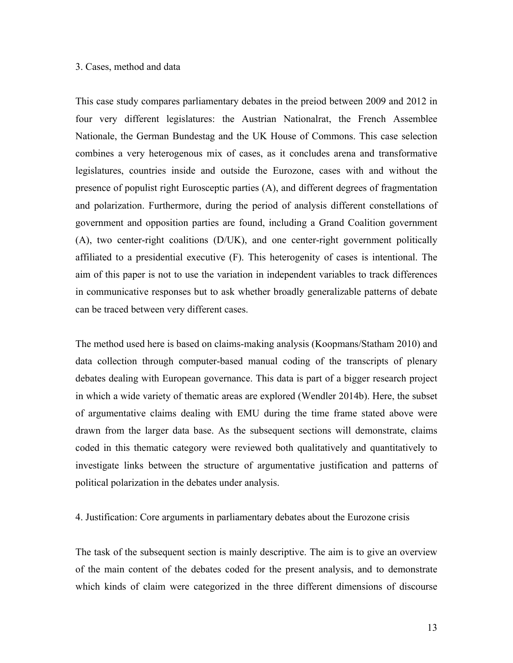#### 3. Cases, method and data

This case study compares parliamentary debates in the preiod between 2009 and 2012 in four very different legislatures: the Austrian Nationalrat, the French Assemblee Nationale, the German Bundestag and the UK House of Commons. This case selection combines a very heterogenous mix of cases, as it concludes arena and transformative legislatures, countries inside and outside the Eurozone, cases with and without the presence of populist right Eurosceptic parties (A), and different degrees of fragmentation and polarization. Furthermore, during the period of analysis different constellations of government and opposition parties are found, including a Grand Coalition government (A), two center-right coalitions (D/UK), and one center-right government politically affiliated to a presidential executive (F). This heterogenity of cases is intentional. The aim of this paper is not to use the variation in independent variables to track differences in communicative responses but to ask whether broadly generalizable patterns of debate can be traced between very different cases.

The method used here is based on claims-making analysis (Koopmans/Statham 2010) and data collection through computer-based manual coding of the transcripts of plenary debates dealing with European governance. This data is part of a bigger research project in which a wide variety of thematic areas are explored (Wendler 2014b). Here, the subset of argumentative claims dealing with EMU during the time frame stated above were drawn from the larger data base. As the subsequent sections will demonstrate, claims coded in this thematic category were reviewed both qualitatively and quantitatively to investigate links between the structure of argumentative justification and patterns of political polarization in the debates under analysis.

#### 4. Justification: Core arguments in parliamentary debates about the Eurozone crisis

The task of the subsequent section is mainly descriptive. The aim is to give an overview of the main content of the debates coded for the present analysis, and to demonstrate which kinds of claim were categorized in the three different dimensions of discourse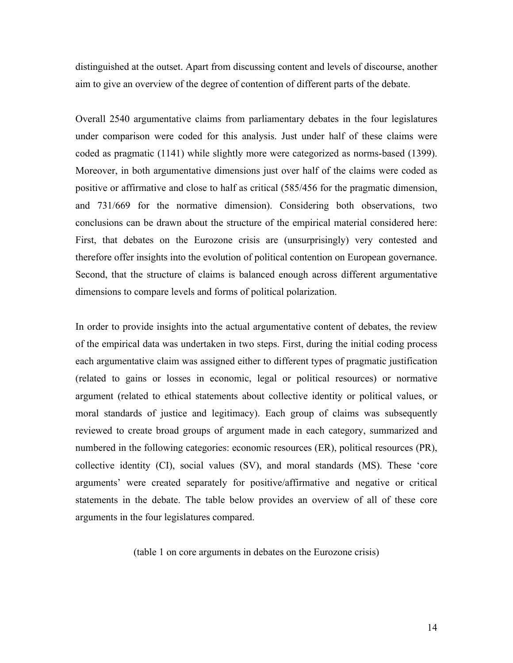distinguished at the outset. Apart from discussing content and levels of discourse, another aim to give an overview of the degree of contention of different parts of the debate.

Overall 2540 argumentative claims from parliamentary debates in the four legislatures under comparison were coded for this analysis. Just under half of these claims were coded as pragmatic (1141) while slightly more were categorized as norms-based (1399). Moreover, in both argumentative dimensions just over half of the claims were coded as positive or affirmative and close to half as critical (585/456 for the pragmatic dimension, and 731/669 for the normative dimension). Considering both observations, two conclusions can be drawn about the structure of the empirical material considered here: First, that debates on the Eurozone crisis are (unsurprisingly) very contested and therefore offer insights into the evolution of political contention on European governance. Second, that the structure of claims is balanced enough across different argumentative dimensions to compare levels and forms of political polarization.

In order to provide insights into the actual argumentative content of debates, the review of the empirical data was undertaken in two steps. First, during the initial coding process each argumentative claim was assigned either to different types of pragmatic justification (related to gains or losses in economic, legal or political resources) or normative argument (related to ethical statements about collective identity or political values, or moral standards of justice and legitimacy). Each group of claims was subsequently reviewed to create broad groups of argument made in each category, summarized and numbered in the following categories: economic resources (ER), political resources (PR), collective identity (CI), social values (SV), and moral standards (MS). These 'core arguments' were created separately for positive/affirmative and negative or critical statements in the debate. The table below provides an overview of all of these core arguments in the four legislatures compared.

(table 1 on core arguments in debates on the Eurozone crisis)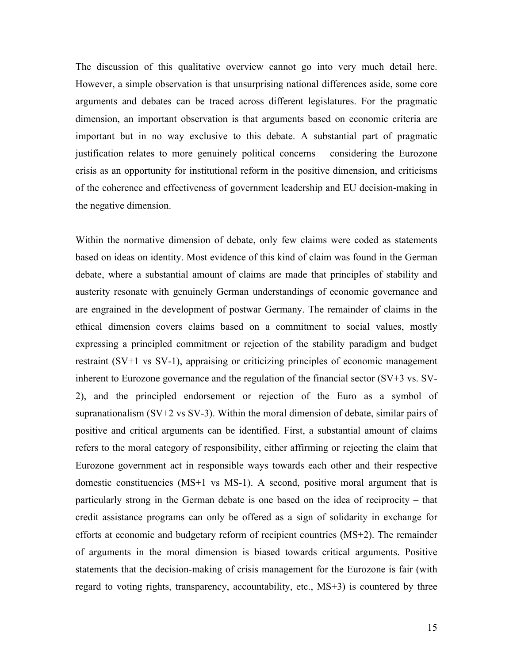The discussion of this qualitative overview cannot go into very much detail here. However, a simple observation is that unsurprising national differences aside, some core arguments and debates can be traced across different legislatures. For the pragmatic dimension, an important observation is that arguments based on economic criteria are important but in no way exclusive to this debate. A substantial part of pragmatic justification relates to more genuinely political concerns – considering the Eurozone crisis as an opportunity for institutional reform in the positive dimension, and criticisms of the coherence and effectiveness of government leadership and EU decision-making in the negative dimension.

Within the normative dimension of debate, only few claims were coded as statements based on ideas on identity. Most evidence of this kind of claim was found in the German debate, where a substantial amount of claims are made that principles of stability and austerity resonate with genuinely German understandings of economic governance and are engrained in the development of postwar Germany. The remainder of claims in the ethical dimension covers claims based on a commitment to social values, mostly expressing a principled commitment or rejection of the stability paradigm and budget restraint (SV+1 vs SV-1), appraising or criticizing principles of economic management inherent to Eurozone governance and the regulation of the financial sector (SV+3 vs. SV-2), and the principled endorsement or rejection of the Euro as a symbol of supranationalism (SV+2 vs SV-3). Within the moral dimension of debate, similar pairs of positive and critical arguments can be identified. First, a substantial amount of claims refers to the moral category of responsibility, either affirming or rejecting the claim that Eurozone government act in responsible ways towards each other and their respective domestic constituencies (MS+1 vs MS-1). A second, positive moral argument that is particularly strong in the German debate is one based on the idea of reciprocity – that credit assistance programs can only be offered as a sign of solidarity in exchange for efforts at economic and budgetary reform of recipient countries (MS+2). The remainder of arguments in the moral dimension is biased towards critical arguments. Positive statements that the decision-making of crisis management for the Eurozone is fair (with regard to voting rights, transparency, accountability, etc., MS+3) is countered by three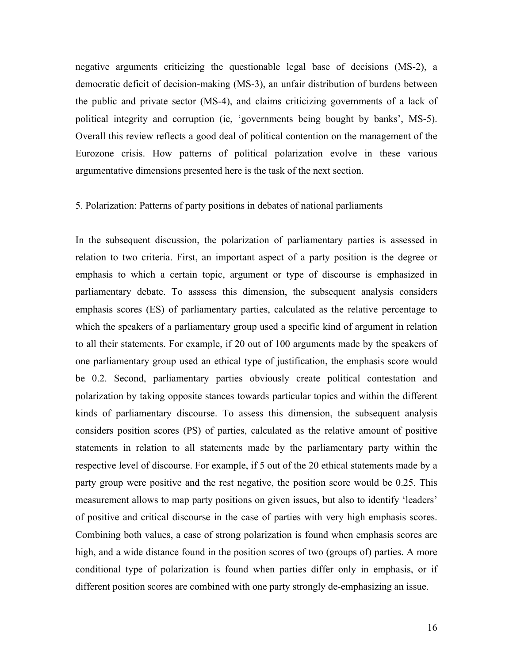negative arguments criticizing the questionable legal base of decisions (MS-2), a democratic deficit of decision-making (MS-3), an unfair distribution of burdens between the public and private sector (MS-4), and claims criticizing governments of a lack of political integrity and corruption (ie, 'governments being bought by banks', MS-5). Overall this review reflects a good deal of political contention on the management of the Eurozone crisis. How patterns of political polarization evolve in these various argumentative dimensions presented here is the task of the next section.

#### 5. Polarization: Patterns of party positions in debates of national parliaments

In the subsequent discussion, the polarization of parliamentary parties is assessed in relation to two criteria. First, an important aspect of a party position is the degree or emphasis to which a certain topic, argument or type of discourse is emphasized in parliamentary debate. To asssess this dimension, the subsequent analysis considers emphasis scores (ES) of parliamentary parties, calculated as the relative percentage to which the speakers of a parliamentary group used a specific kind of argument in relation to all their statements. For example, if 20 out of 100 arguments made by the speakers of one parliamentary group used an ethical type of justification, the emphasis score would be 0.2. Second, parliamentary parties obviously create political contestation and polarization by taking opposite stances towards particular topics and within the different kinds of parliamentary discourse. To assess this dimension, the subsequent analysis considers position scores (PS) of parties, calculated as the relative amount of positive statements in relation to all statements made by the parliamentary party within the respective level of discourse. For example, if 5 out of the 20 ethical statements made by a party group were positive and the rest negative, the position score would be 0.25. This measurement allows to map party positions on given issues, but also to identify 'leaders' of positive and critical discourse in the case of parties with very high emphasis scores. Combining both values, a case of strong polarization is found when emphasis scores are high, and a wide distance found in the position scores of two (groups of) parties. A more conditional type of polarization is found when parties differ only in emphasis, or if different position scores are combined with one party strongly de-emphasizing an issue.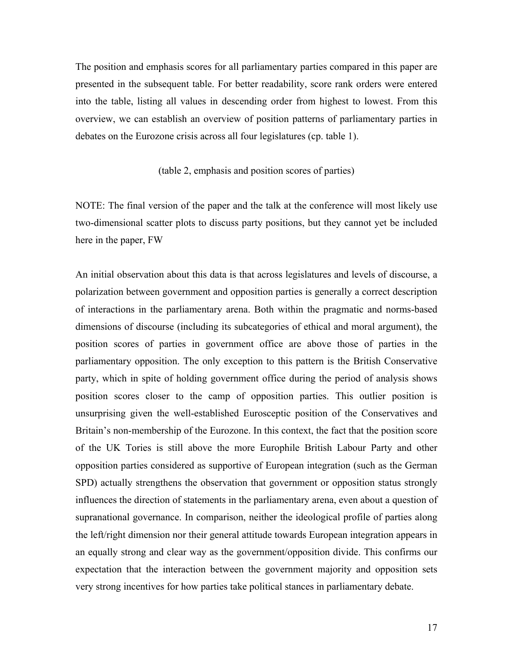The position and emphasis scores for all parliamentary parties compared in this paper are presented in the subsequent table. For better readability, score rank orders were entered into the table, listing all values in descending order from highest to lowest. From this overview, we can establish an overview of position patterns of parliamentary parties in debates on the Eurozone crisis across all four legislatures (cp. table 1).

# (table 2, emphasis and position scores of parties)

NOTE: The final version of the paper and the talk at the conference will most likely use two-dimensional scatter plots to discuss party positions, but they cannot yet be included here in the paper, FW

An initial observation about this data is that across legislatures and levels of discourse, a polarization between government and opposition parties is generally a correct description of interactions in the parliamentary arena. Both within the pragmatic and norms-based dimensions of discourse (including its subcategories of ethical and moral argument), the position scores of parties in government office are above those of parties in the parliamentary opposition. The only exception to this pattern is the British Conservative party, which in spite of holding government office during the period of analysis shows position scores closer to the camp of opposition parties. This outlier position is unsurprising given the well-established Eurosceptic position of the Conservatives and Britain's non-membership of the Eurozone. In this context, the fact that the position score of the UK Tories is still above the more Europhile British Labour Party and other opposition parties considered as supportive of European integration (such as the German SPD) actually strengthens the observation that government or opposition status strongly influences the direction of statements in the parliamentary arena, even about a question of supranational governance. In comparison, neither the ideological profile of parties along the left/right dimension nor their general attitude towards European integration appears in an equally strong and clear way as the government/opposition divide. This confirms our expectation that the interaction between the government majority and opposition sets very strong incentives for how parties take political stances in parliamentary debate.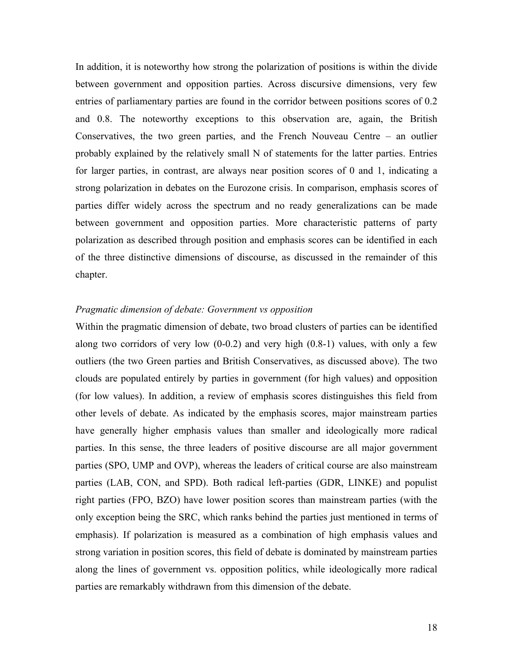In addition, it is noteworthy how strong the polarization of positions is within the divide between government and opposition parties. Across discursive dimensions, very few entries of parliamentary parties are found in the corridor between positions scores of 0.2 and 0.8. The noteworthy exceptions to this observation are, again, the British Conservatives, the two green parties, and the French Nouveau Centre – an outlier probably explained by the relatively small N of statements for the latter parties. Entries for larger parties, in contrast, are always near position scores of 0 and 1, indicating a strong polarization in debates on the Eurozone crisis. In comparison, emphasis scores of parties differ widely across the spectrum and no ready generalizations can be made between government and opposition parties. More characteristic patterns of party polarization as described through position and emphasis scores can be identified in each of the three distinctive dimensions of discourse, as discussed in the remainder of this chapter.

## *Pragmatic dimension of debate: Government vs opposition*

Within the pragmatic dimension of debate, two broad clusters of parties can be identified along two corridors of very low (0-0.2) and very high (0.8-1) values, with only a few outliers (the two Green parties and British Conservatives, as discussed above). The two clouds are populated entirely by parties in government (for high values) and opposition (for low values). In addition, a review of emphasis scores distinguishes this field from other levels of debate. As indicated by the emphasis scores, major mainstream parties have generally higher emphasis values than smaller and ideologically more radical parties. In this sense, the three leaders of positive discourse are all major government parties (SPO, UMP and OVP), whereas the leaders of critical course are also mainstream parties (LAB, CON, and SPD). Both radical left-parties (GDR, LINKE) and populist right parties (FPO, BZO) have lower position scores than mainstream parties (with the only exception being the SRC, which ranks behind the parties just mentioned in terms of emphasis). If polarization is measured as a combination of high emphasis values and strong variation in position scores, this field of debate is dominated by mainstream parties along the lines of government vs. opposition politics, while ideologically more radical parties are remarkably withdrawn from this dimension of the debate.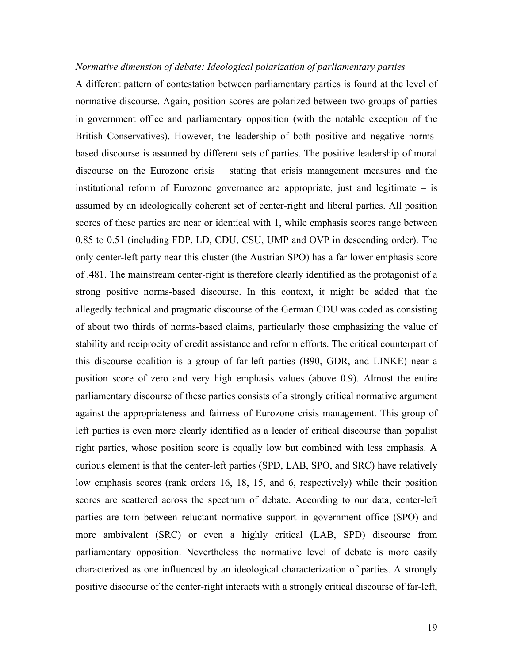#### *Normative dimension of debate: Ideological polarization of parliamentary parties*

A different pattern of contestation between parliamentary parties is found at the level of normative discourse. Again, position scores are polarized between two groups of parties in government office and parliamentary opposition (with the notable exception of the British Conservatives). However, the leadership of both positive and negative normsbased discourse is assumed by different sets of parties. The positive leadership of moral discourse on the Eurozone crisis – stating that crisis management measures and the institutional reform of Eurozone governance are appropriate, just and legitimate – is assumed by an ideologically coherent set of center-right and liberal parties. All position scores of these parties are near or identical with 1, while emphasis scores range between 0.85 to 0.51 (including FDP, LD, CDU, CSU, UMP and OVP in descending order). The only center-left party near this cluster (the Austrian SPO) has a far lower emphasis score of .481. The mainstream center-right is therefore clearly identified as the protagonist of a strong positive norms-based discourse. In this context, it might be added that the allegedly technical and pragmatic discourse of the German CDU was coded as consisting of about two thirds of norms-based claims, particularly those emphasizing the value of stability and reciprocity of credit assistance and reform efforts. The critical counterpart of this discourse coalition is a group of far-left parties (B90, GDR, and LINKE) near a position score of zero and very high emphasis values (above 0.9). Almost the entire parliamentary discourse of these parties consists of a strongly critical normative argument against the appropriateness and fairness of Eurozone crisis management. This group of left parties is even more clearly identified as a leader of critical discourse than populist right parties, whose position score is equally low but combined with less emphasis. A curious element is that the center-left parties (SPD, LAB, SPO, and SRC) have relatively low emphasis scores (rank orders 16, 18, 15, and 6, respectively) while their position scores are scattered across the spectrum of debate. According to our data, center-left parties are torn between reluctant normative support in government office (SPO) and more ambivalent (SRC) or even a highly critical (LAB, SPD) discourse from parliamentary opposition. Nevertheless the normative level of debate is more easily characterized as one influenced by an ideological characterization of parties. A strongly positive discourse of the center-right interacts with a strongly critical discourse of far-left,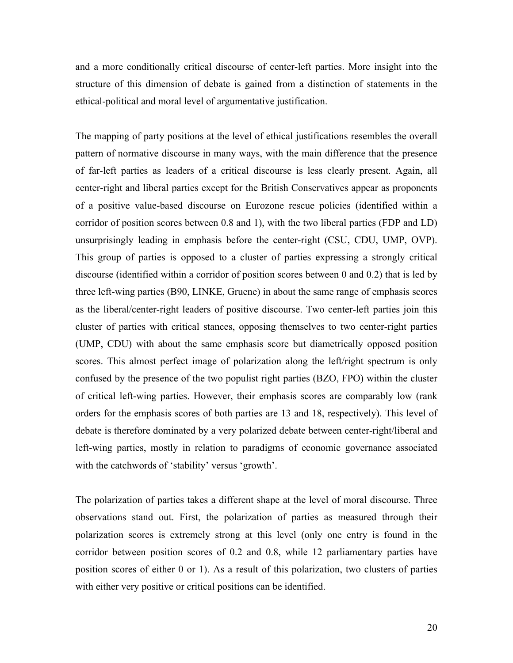and a more conditionally critical discourse of center-left parties. More insight into the structure of this dimension of debate is gained from a distinction of statements in the ethical-political and moral level of argumentative justification.

The mapping of party positions at the level of ethical justifications resembles the overall pattern of normative discourse in many ways, with the main difference that the presence of far-left parties as leaders of a critical discourse is less clearly present. Again, all center-right and liberal parties except for the British Conservatives appear as proponents of a positive value-based discourse on Eurozone rescue policies (identified within a corridor of position scores between 0.8 and 1), with the two liberal parties (FDP and LD) unsurprisingly leading in emphasis before the center-right (CSU, CDU, UMP, OVP). This group of parties is opposed to a cluster of parties expressing a strongly critical discourse (identified within a corridor of position scores between 0 and 0.2) that is led by three left-wing parties (B90, LINKE, Gruene) in about the same range of emphasis scores as the liberal/center-right leaders of positive discourse. Two center-left parties join this cluster of parties with critical stances, opposing themselves to two center-right parties (UMP, CDU) with about the same emphasis score but diametrically opposed position scores. This almost perfect image of polarization along the left/right spectrum is only confused by the presence of the two populist right parties (BZO, FPO) within the cluster of critical left-wing parties. However, their emphasis scores are comparably low (rank orders for the emphasis scores of both parties are 13 and 18, respectively). This level of debate is therefore dominated by a very polarized debate between center-right/liberal and left-wing parties, mostly in relation to paradigms of economic governance associated with the catchwords of 'stability' versus 'growth'.

The polarization of parties takes a different shape at the level of moral discourse. Three observations stand out. First, the polarization of parties as measured through their polarization scores is extremely strong at this level (only one entry is found in the corridor between position scores of 0.2 and 0.8, while 12 parliamentary parties have position scores of either 0 or 1). As a result of this polarization, two clusters of parties with either very positive or critical positions can be identified.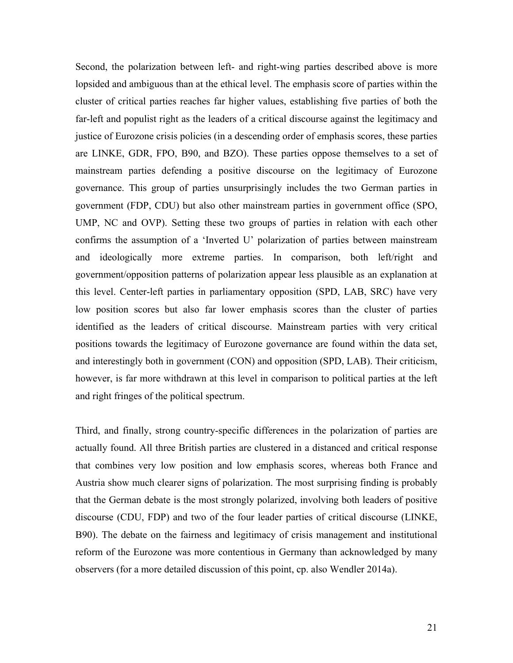Second, the polarization between left- and right-wing parties described above is more lopsided and ambiguous than at the ethical level. The emphasis score of parties within the cluster of critical parties reaches far higher values, establishing five parties of both the far-left and populist right as the leaders of a critical discourse against the legitimacy and justice of Eurozone crisis policies (in a descending order of emphasis scores, these parties are LINKE, GDR, FPO, B90, and BZO). These parties oppose themselves to a set of mainstream parties defending a positive discourse on the legitimacy of Eurozone governance. This group of parties unsurprisingly includes the two German parties in government (FDP, CDU) but also other mainstream parties in government office (SPO, UMP, NC and OVP). Setting these two groups of parties in relation with each other confirms the assumption of a 'Inverted U' polarization of parties between mainstream and ideologically more extreme parties. In comparison, both left/right and government/opposition patterns of polarization appear less plausible as an explanation at this level. Center-left parties in parliamentary opposition (SPD, LAB, SRC) have very low position scores but also far lower emphasis scores than the cluster of parties identified as the leaders of critical discourse. Mainstream parties with very critical positions towards the legitimacy of Eurozone governance are found within the data set, and interestingly both in government (CON) and opposition (SPD, LAB). Their criticism, however, is far more withdrawn at this level in comparison to political parties at the left and right fringes of the political spectrum.

Third, and finally, strong country-specific differences in the polarization of parties are actually found. All three British parties are clustered in a distanced and critical response that combines very low position and low emphasis scores, whereas both France and Austria show much clearer signs of polarization. The most surprising finding is probably that the German debate is the most strongly polarized, involving both leaders of positive discourse (CDU, FDP) and two of the four leader parties of critical discourse (LINKE, B90). The debate on the fairness and legitimacy of crisis management and institutional reform of the Eurozone was more contentious in Germany than acknowledged by many observers (for a more detailed discussion of this point, cp. also Wendler 2014a).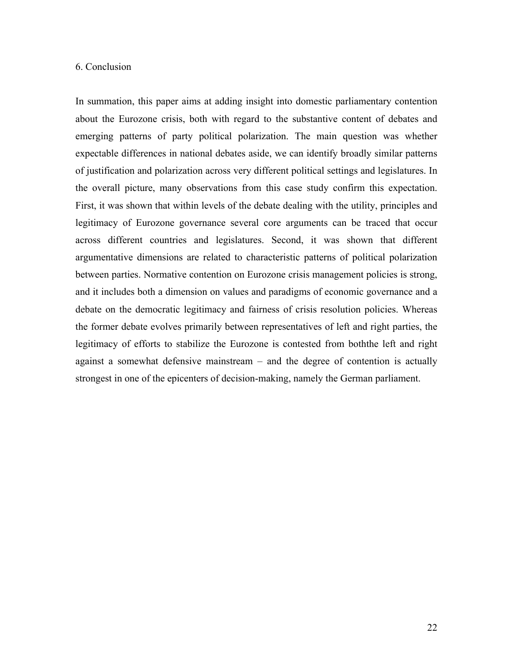# 6. Conclusion

In summation, this paper aims at adding insight into domestic parliamentary contention about the Eurozone crisis, both with regard to the substantive content of debates and emerging patterns of party political polarization. The main question was whether expectable differences in national debates aside, we can identify broadly similar patterns of justification and polarization across very different political settings and legislatures. In the overall picture, many observations from this case study confirm this expectation. First, it was shown that within levels of the debate dealing with the utility, principles and legitimacy of Eurozone governance several core arguments can be traced that occur across different countries and legislatures. Second, it was shown that different argumentative dimensions are related to characteristic patterns of political polarization between parties. Normative contention on Eurozone crisis management policies is strong, and it includes both a dimension on values and paradigms of economic governance and a debate on the democratic legitimacy and fairness of crisis resolution policies. Whereas the former debate evolves primarily between representatives of left and right parties, the legitimacy of efforts to stabilize the Eurozone is contested from boththe left and right against a somewhat defensive mainstream – and the degree of contention is actually strongest in one of the epicenters of decision-making, namely the German parliament.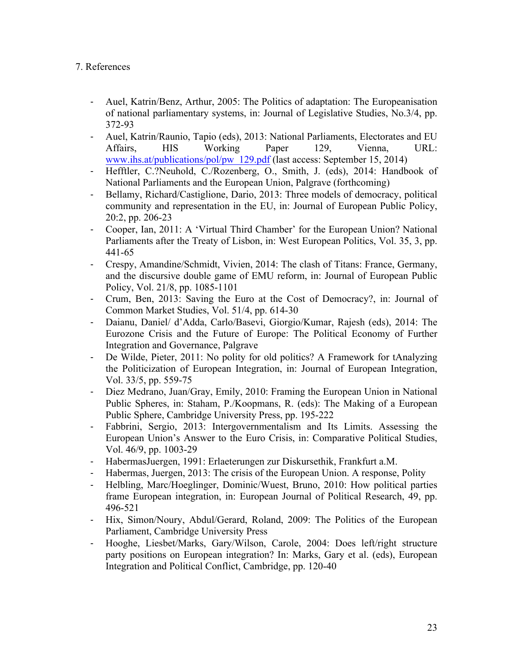# 7. References

- Auel, Katrin/Benz, Arthur, 2005: The Politics of adaptation: The Europeanisation of national parliamentary systems, in: Journal of Legislative Studies, No.3/4, pp. 372-93
- Auel, Katrin/Raunio, Tapio (eds), 2013: National Parliaments, Electorates and EU Affairs, HIS Working Paper 129, Vienna, URL: www.ihs.at/publications/pol/pw\_129.pdf (last access: September 15, 2014)
- Hefftler, C.?Neuhold, C./Rozenberg, O., Smith, J. (eds), 2014: Handbook of National Parliaments and the European Union, Palgrave (forthcoming)
- Bellamy, Richard/Castiglione, Dario, 2013: Three models of democracy, political community and representation in the EU, in: Journal of European Public Policy, 20:2, pp. 206-23
- Cooper, Ian, 2011: A 'Virtual Third Chamber' for the European Union? National Parliaments after the Treaty of Lisbon, in: West European Politics, Vol. 35, 3, pp. 441-65
- Crespy, Amandine/Schmidt, Vivien, 2014: The clash of Titans: France, Germany, and the discursive double game of EMU reform, in: Journal of European Public Policy, Vol. 21/8, pp. 1085-1101
- Crum, Ben, 2013: Saving the Euro at the Cost of Democracy?, in: Journal of Common Market Studies, Vol. 51/4, pp. 614-30
- Daianu, Daniel/ d'Adda, Carlo/Basevi, Giorgio/Kumar, Rajesh (eds), 2014: The Eurozone Crisis and the Future of Europe: The Political Economy of Further Integration and Governance, Palgrave
- De Wilde, Pieter, 2011: No polity for old politics? A Framework for tAnalyzing the Politicization of European Integration, in: Journal of European Integration, Vol. 33/5, pp. 559-75
- Diez Medrano, Juan/Gray, Emily, 2010: Framing the European Union in National Public Spheres, in: Staham, P./Koopmans, R. (eds): The Making of a European Public Sphere, Cambridge University Press, pp. 195-222
- Fabbrini, Sergio, 2013: Intergovernmentalism and Its Limits. Assessing the European Union's Answer to the Euro Crisis, in: Comparative Political Studies, Vol. 46/9, pp. 1003-29
- HabermasJuergen, 1991: Erlaeterungen zur Diskursethik, Frankfurt a.M.
- Habermas, Juergen, 2013: The crisis of the European Union. A response, Polity
- " Helbling, Marc/Hoeglinger, Dominic/Wuest, Bruno, 2010: How political parties frame European integration, in: European Journal of Political Research, 49, pp. 496-521
- Hix, Simon/Noury, Abdul/Gerard, Roland, 2009: The Politics of the European Parliament, Cambridge University Press
- Hooghe, Liesbet/Marks, Gary/Wilson, Carole, 2004: Does left/right structure party positions on European integration? In: Marks, Gary et al. (eds), European Integration and Political Conflict, Cambridge, pp. 120-40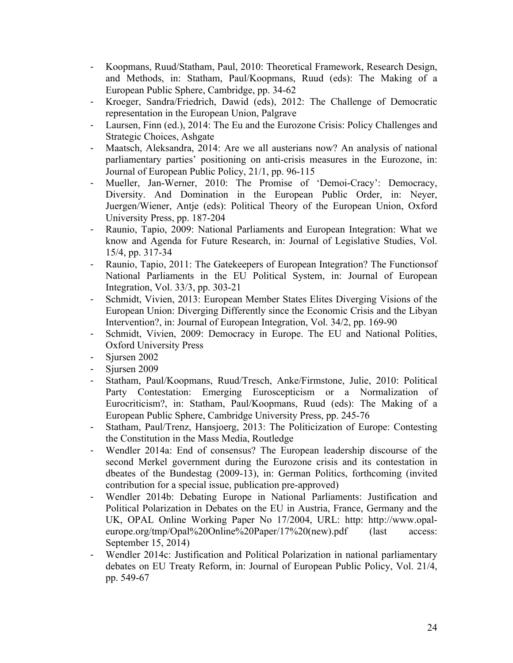- Koopmans, Ruud/Statham, Paul, 2010: Theoretical Framework, Research Design, and Methods, in: Statham, Paul/Koopmans, Ruud (eds): The Making of a European Public Sphere, Cambridge, pp. 34-62
- Kroeger, Sandra/Friedrich, Dawid (eds), 2012: The Challenge of Democratic representation in the European Union, Palgrave
- Laursen, Finn (ed.), 2014: The Eu and the Eurozone Crisis: Policy Challenges and Strategic Choices, Ashgate
- Maatsch, Aleksandra, 2014: Are we all austerians now? An analysis of national parliamentary parties' positioning on anti-crisis measures in the Eurozone, in: Journal of European Public Policy, 21/1, pp. 96-115
- Mueller, Jan-Werner, 2010: The Promise of 'Demoi-Cracy': Democracy, Diversity. And Domination in the European Public Order, in: Neyer, Juergen/Wiener, Antje (eds): Political Theory of the European Union, Oxford University Press, pp. 187-204
- Raunio, Tapio, 2009: National Parliaments and European Integration: What we know and Agenda for Future Research, in: Journal of Legislative Studies, Vol. 15/4, pp. 317-34
- Raunio, Tapio, 2011: The Gatekeepers of European Integration? The Functions of National Parliaments in the EU Political System, in: Journal of European Integration, Vol. 33/3, pp. 303-21
- Schmidt, Vivien, 2013: European Member States Elites Diverging Visions of the European Union: Diverging Differently since the Economic Crisis and the Libyan Intervention?, in: Journal of European Integration, Vol. 34/2, pp. 169-90
- Schmidt, Vivien, 2009: Democracy in Europe. The EU and National Polities, Oxford University Press
- Sjursen 2002
- Sjursen 2009
- Statham, Paul/Koopmans, Ruud/Tresch, Anke/Firmstone, Julie, 2010: Political Party Contestation: Emerging Euroscepticism or a Normalization of Eurocriticism?, in: Statham, Paul/Koopmans, Ruud (eds): The Making of a European Public Sphere, Cambridge University Press, pp. 245-76
- Statham, Paul/Trenz, Hansjoerg, 2013: The Politicization of Europe: Contesting the Constitution in the Mass Media, Routledge
- Wendler 2014a: End of consensus? The European leadership discourse of the second Merkel government during the Eurozone crisis and its contestation in dbeates of the Bundestag (2009-13), in: German Politics, forthcoming (invited contribution for a special issue, publication pre-approved)
- Wendler 2014b: Debating Europe in National Parliaments: Justification and Political Polarization in Debates on the EU in Austria, France, Germany and the UK, OPAL Online Working Paper No 17/2004, URL: http: http://www.opaleurope.org/tmp/Opal%20Online%20Paper/17%20(new).pdf (last access: September 15, 2014)
- Wendler 2014c: Justification and Political Polarization in national parliamentary debates on EU Treaty Reform, in: Journal of European Public Policy, Vol. 21/4, pp. 549-67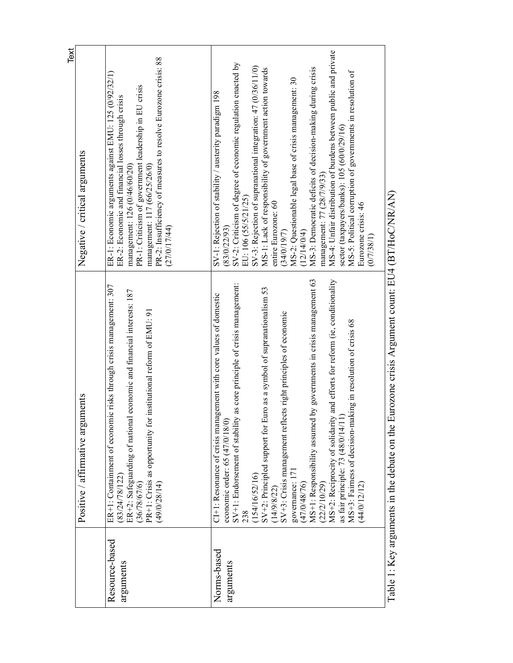|                             |                                                                                                                                                                                                                                                                                                                                                                                                                                                                                                                                                                                                                                                                                           | Š                                                                                                                                                                                                                                                                                                                                                                                                                                                                                                                                                                                                                                                                                                                        |
|-----------------------------|-------------------------------------------------------------------------------------------------------------------------------------------------------------------------------------------------------------------------------------------------------------------------------------------------------------------------------------------------------------------------------------------------------------------------------------------------------------------------------------------------------------------------------------------------------------------------------------------------------------------------------------------------------------------------------------------|--------------------------------------------------------------------------------------------------------------------------------------------------------------------------------------------------------------------------------------------------------------------------------------------------------------------------------------------------------------------------------------------------------------------------------------------------------------------------------------------------------------------------------------------------------------------------------------------------------------------------------------------------------------------------------------------------------------------------|
|                             | Positive / affirmative arguments                                                                                                                                                                                                                                                                                                                                                                                                                                                                                                                                                                                                                                                          | Negative / critical arguments                                                                                                                                                                                                                                                                                                                                                                                                                                                                                                                                                                                                                                                                                            |
| Resource-based<br>arguments | ER+1: Containment of economic risks through crisis management: 307<br>ER+2: Safeguarding of national economic and financial interests: 187<br>r institutional reform of EMU: 91<br>PR+1: Crisis as opportunity for<br>(83/24/78/122)<br>(36/78/67/6)<br>(49/0/28/14)                                                                                                                                                                                                                                                                                                                                                                                                                      | PR-2: Insufficiency of measures to resolve Eurozone crisis: 88<br>ER-1: Economic arguments against EMU: 125 (0/92/32/1)<br>PR-1: Criticism of government leadership in EU crisis<br>ER-2: Economic and financial losses through crisis<br>management: 117 (66/25/26/0)<br>management: 126 (0/46/60/20)<br>(27/0/17/44)                                                                                                                                                                                                                                                                                                                                                                                                   |
| Norms-based<br>arguments    | MS+1: Responsibility assumed by governments in crisis management 63<br>MS+2: Reciprocity of solidarity and efforts for reform (ie, conditionality as fair principle: 73 (48/0/14/11)<br>SV+1: Endorsement of stability as core principle of crisis management:<br>SV+2: Principled support for Euro as a symbol of supranationalism 53<br>CI+1: Resonance of crisis management with core values of domestic<br>SV+3: Crisis management reflects right principles of economic<br>MS+3: Fairness of decision-making in resolution of crisis 68<br>economic order: 65 (47/0/18/0)<br>governance: 171<br>(154/16/52/16)<br>(22/2/10/29)<br>(44/0/12/12)<br>(47/0/48/76)<br>(14/9/8/22)<br>238 | MS-4: Unfair distribution of burdens between public and private<br>SV-2: Criticism of degree of economic regulation enacted by<br>SV-3: Rejection of supranational integration: 47 (0/36/11/0)<br>MS-3: Democratic deficits of decision-making during crisis<br>MS-1: Lack of responsibility of government action towards<br>MS-5: Political corruption of governments in resolution of<br>MS-2: Questionable legal base of crisis management: 30<br>SV-1: Rejection of stability / austerity paradigm 198<br>sector (taxpayers/banks): 105 (60/0/29/16)<br>management: 77 (28/7/9/33)<br>EU: 106 (55/5/21/25)<br>entire Eurozone: 60<br>Eurozone crisis: 46<br>(83/0/22/93)<br>(12/14/0/4)<br>(34/0/19/7)<br>(0/7/38/1) |
|                             | Eurozone crisis Argument count: EU4 (BT/HoC/NR/AN)<br>Table 1: Key arguments in the debate on the 1                                                                                                                                                                                                                                                                                                                                                                                                                                                                                                                                                                                       |                                                                                                                                                                                                                                                                                                                                                                                                                                                                                                                                                                                                                                                                                                                          |

Text